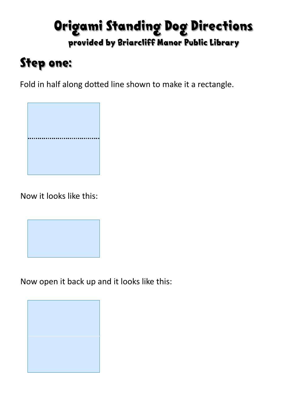#### Origami Standing Dog Directions provided by Briarcliff Manor Public Library

## Step one:

Fold in half along dotted line shown to make it a rectangle.



Now it looks like this:



Now open it back up and it looks like this:

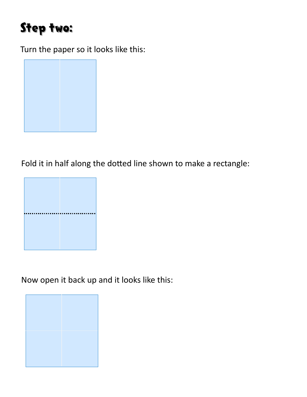#### Step two:

Turn the paper so it looks like this:



Fold it in half along the dotted line shown to make a rectangle:



Now open it back up and it looks like this:

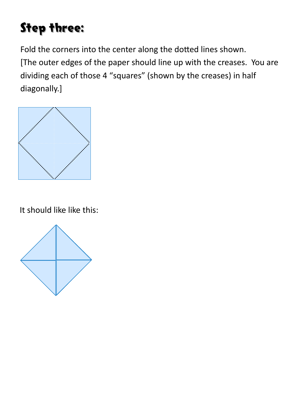# Step three:

Fold the corners into the center along the dotted lines shown. [The outer edges of the paper should line up with the creases. You are dividing each of those 4 "squares" (shown by the creases) in half diagonally.]



It should like like this:

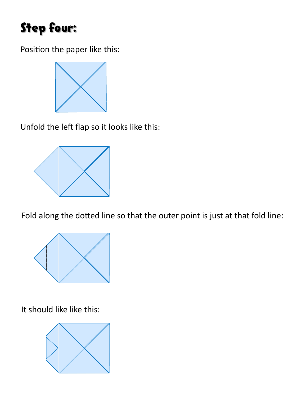## Step four:

Position the paper like this:



Unfold the left flap so it looks like this:



Fold along the dotted line so that the outer point is just at that fold line:



It should like like this:

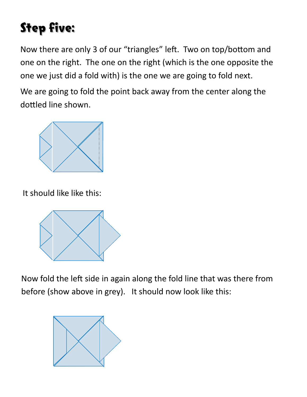# Step five:

Now there are only 3 of our "triangles" left. Two on top/bottom and one on the right. The one on the right (which is the one opposite the one we just did a fold with) is the one we are going to fold next.

We are going to fold the point back away from the center along the dottled line shown.



It should like like this:



Now fold the left side in again along the fold line that was there from before (show above in grey). It should now look like this:

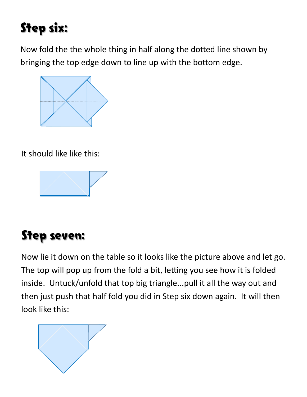# Step six:

Now fold the the whole thing in half along the dotted line shown by bringing the top edge down to line up with the bottom edge.



It should like like this:



# Step seven:

Now lie it down on the table so it looks like the picture above and let go. The top will pop up from the fold a bit, letting you see how it is folded inside. Untuck/unfold that top big triangle...pull it all the way out and then just push that half fold you did in Step six down again. It will then look like this:

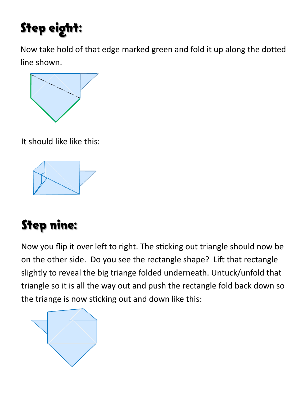# Step eight:

Now take hold of that edge marked green and fold it up along the dotted line shown.



It should like like this:



# Step nine:

Now you flip it over left to right. The sticking out triangle should now be on the other side. Do you see the rectangle shape? Lift that rectangle slightly to reveal the big triange folded underneath. Untuck/unfold that triangle so it is all the way out and push the rectangle fold back down so the triange is now sticking out and down like this:

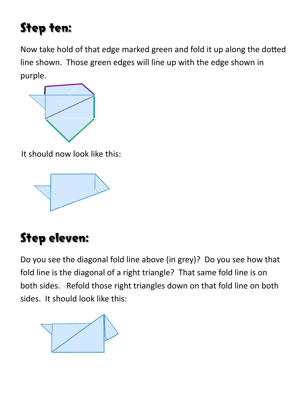## Step ten:

Now take hold of that edge marked green and fold it up along the dotted line shown. Those green edges will line up with the edge shown in purple.



It should now look like this:



# Step eleven:

Do you see the diagonal fold line above (in grey)? Do you see how that fold line is the diagonal of a right triangle? That same fold line is on both sides. Refold those right triangles down on that fold line on both sides. It should look like this: